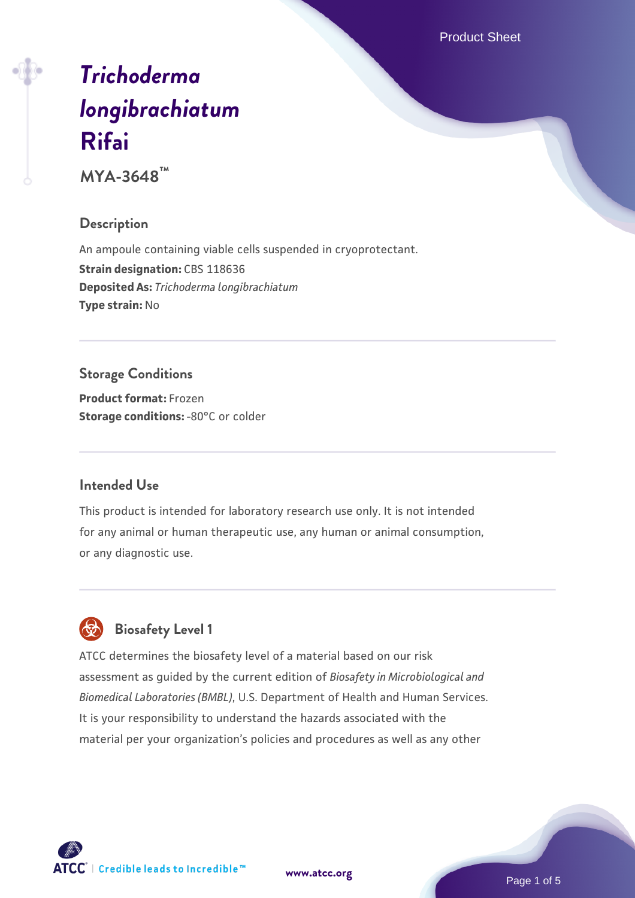Product Sheet

# *[Trichoderma](https://www.atcc.org/products/mya-3648) [longibrachiatum](https://www.atcc.org/products/mya-3648)* **[Rifai](https://www.atcc.org/products/mya-3648)**

**MYA-3648™**

#### **Description**

An ampoule containing viable cells suspended in cryoprotectant. **Strain designation: CBS 118636 Deposited As:** *Trichoderma longibrachiatum* **Type strain:** No

## **Storage Conditions**

**Product format:** Frozen **Storage conditions: -80°C** or colder

#### **Intended Use**

This product is intended for laboratory research use only. It is not intended for any animal or human therapeutic use, any human or animal consumption, or any diagnostic use.



## **Biosafety Level 1**

ATCC determines the biosafety level of a material based on our risk assessment as guided by the current edition of *Biosafety in Microbiological and Biomedical Laboratories (BMBL)*, U.S. Department of Health and Human Services. It is your responsibility to understand the hazards associated with the material per your organization's policies and procedures as well as any other

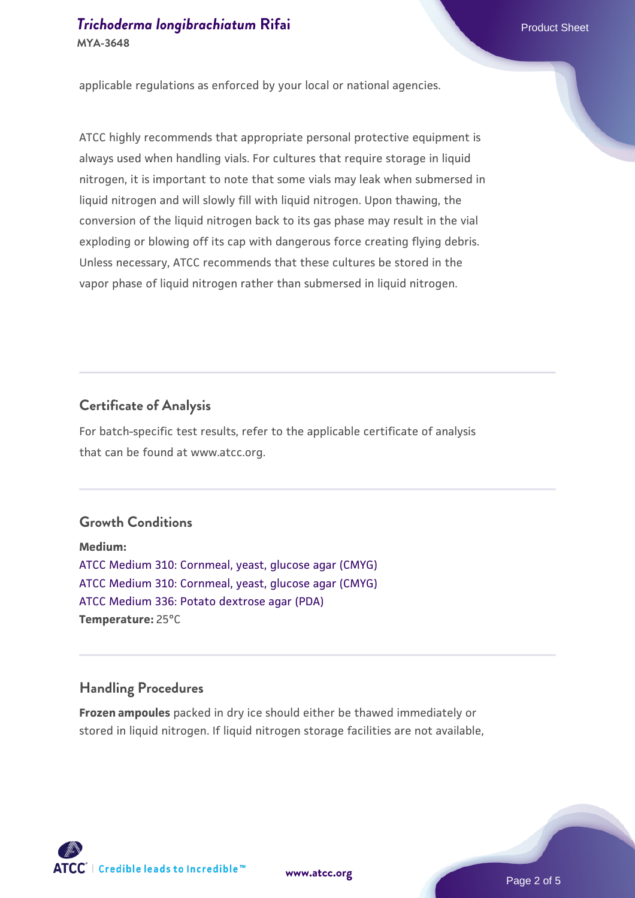applicable regulations as enforced by your local or national agencies.

ATCC highly recommends that appropriate personal protective equipment is always used when handling vials. For cultures that require storage in liquid nitrogen, it is important to note that some vials may leak when submersed in liquid nitrogen and will slowly fill with liquid nitrogen. Upon thawing, the conversion of the liquid nitrogen back to its gas phase may result in the vial exploding or blowing off its cap with dangerous force creating flying debris. Unless necessary, ATCC recommends that these cultures be stored in the vapor phase of liquid nitrogen rather than submersed in liquid nitrogen.

#### **Certificate of Analysis**

For batch-specific test results, refer to the applicable certificate of analysis that can be found at www.atcc.org.

#### **Growth Conditions**

**Medium:**  [ATCC Medium 310: Cornmeal, yeast, glucose agar \(CMYG\)](https://www.atcc.org/-/media/product-assets/documents/microbial-media-formulations/1/0/atcc-medium-310.pdf?rev=5693c733fdd64e888556011eb67a3897) [ATCC Medium 310: Cornmeal, yeast, glucose agar \(CMYG\)](https://www.atcc.org/-/media/product-assets/documents/microbial-media-formulations/1/0/atcc-medium-310.pdf?rev=5693c733fdd64e888556011eb67a3897) [ATCC Medium 336: Potato dextrose agar \(PDA\)](https://www.atcc.org/-/media/product-assets/documents/microbial-media-formulations/3/3/6/atcc-medium-336.pdf?rev=d9160ad44d934cd8b65175461abbf3b9) **Temperature:** 25°C

#### **Handling Procedures**

**Frozen ampoules** packed in dry ice should either be thawed immediately or stored in liquid nitrogen. If liquid nitrogen storage facilities are not available,

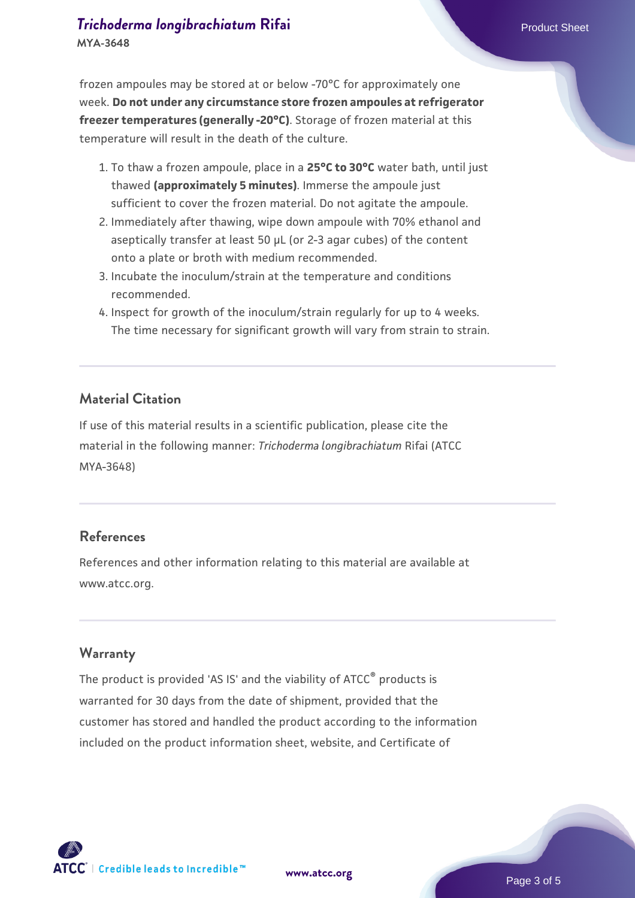frozen ampoules may be stored at or below -70°C for approximately one week. **Do not under any circumstance store frozen ampoules at refrigerator freezer temperatures (generally -20°C)**. Storage of frozen material at this temperature will result in the death of the culture.

- 1. To thaw a frozen ampoule, place in a **25°C to 30°C** water bath, until just thawed **(approximately 5 minutes)**. Immerse the ampoule just sufficient to cover the frozen material. Do not agitate the ampoule.
- 2. Immediately after thawing, wipe down ampoule with 70% ethanol and aseptically transfer at least 50 µL (or 2-3 agar cubes) of the content onto a plate or broth with medium recommended.
- 3. Incubate the inoculum/strain at the temperature and conditions recommended.
- 4. Inspect for growth of the inoculum/strain regularly for up to 4 weeks. The time necessary for significant growth will vary from strain to strain.

#### **Material Citation**

If use of this material results in a scientific publication, please cite the material in the following manner: *Trichoderma longibrachiatum* Rifai (ATCC MYA-3648)

#### **References**

References and other information relating to this material are available at www.atcc.org.

#### **Warranty**

The product is provided 'AS IS' and the viability of ATCC<sup>®</sup> products is warranted for 30 days from the date of shipment, provided that the customer has stored and handled the product according to the information included on the product information sheet, website, and Certificate of

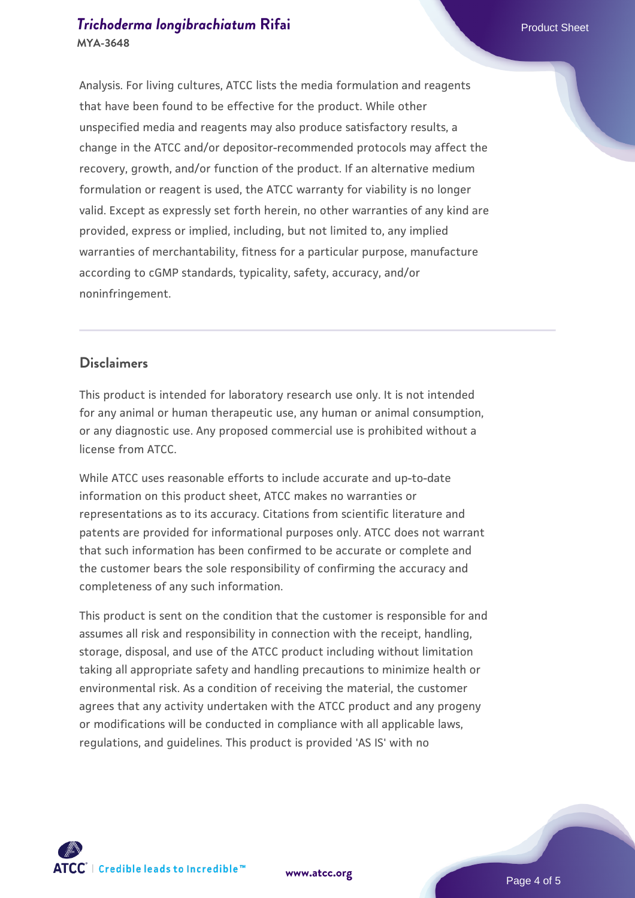#### **[Trichoderma longibrachiatum](https://www.atcc.org/products/mya-3648) [Rifai](https://www.atcc.org/products/mya-3648)** Product Sheet **MYA-3648**

Analysis. For living cultures, ATCC lists the media formulation and reagents that have been found to be effective for the product. While other unspecified media and reagents may also produce satisfactory results, a change in the ATCC and/or depositor-recommended protocols may affect the recovery, growth, and/or function of the product. If an alternative medium formulation or reagent is used, the ATCC warranty for viability is no longer valid. Except as expressly set forth herein, no other warranties of any kind are provided, express or implied, including, but not limited to, any implied warranties of merchantability, fitness for a particular purpose, manufacture according to cGMP standards, typicality, safety, accuracy, and/or noninfringement.

#### **Disclaimers**

This product is intended for laboratory research use only. It is not intended for any animal or human therapeutic use, any human or animal consumption, or any diagnostic use. Any proposed commercial use is prohibited without a license from ATCC.

While ATCC uses reasonable efforts to include accurate and up-to-date information on this product sheet, ATCC makes no warranties or representations as to its accuracy. Citations from scientific literature and patents are provided for informational purposes only. ATCC does not warrant that such information has been confirmed to be accurate or complete and the customer bears the sole responsibility of confirming the accuracy and completeness of any such information.

This product is sent on the condition that the customer is responsible for and assumes all risk and responsibility in connection with the receipt, handling, storage, disposal, and use of the ATCC product including without limitation taking all appropriate safety and handling precautions to minimize health or environmental risk. As a condition of receiving the material, the customer agrees that any activity undertaken with the ATCC product and any progeny or modifications will be conducted in compliance with all applicable laws, regulations, and guidelines. This product is provided 'AS IS' with no



**[www.atcc.org](http://www.atcc.org)**

Page 4 of 5